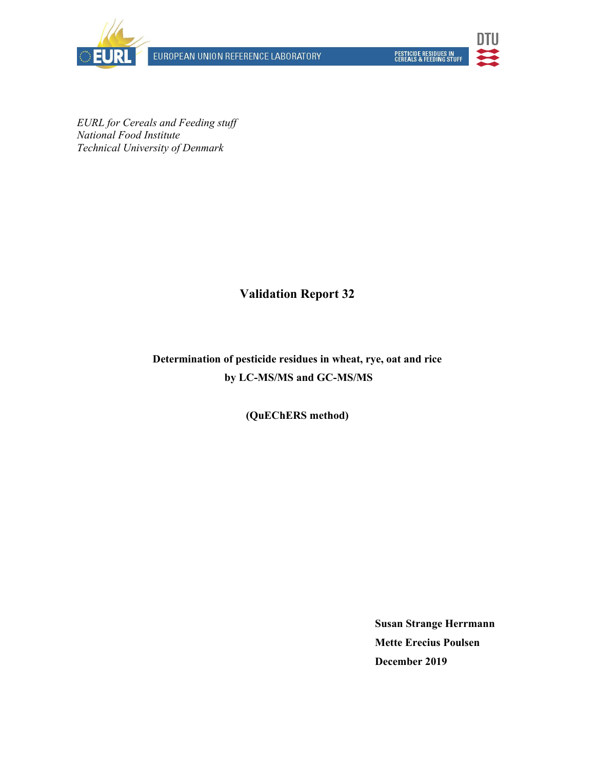



*EURL for Cereals and Feeding stuff National Food Institute Technical University of Denmark* 

# **Validation Report 32**

# **Determination of pesticide residues in wheat, rye, oat and rice by LC-MS/MS and GC-MS/MS**

**(QuEChERS method)** 

**Susan Strange Herrmann Mette Erecius Poulsen December 2019**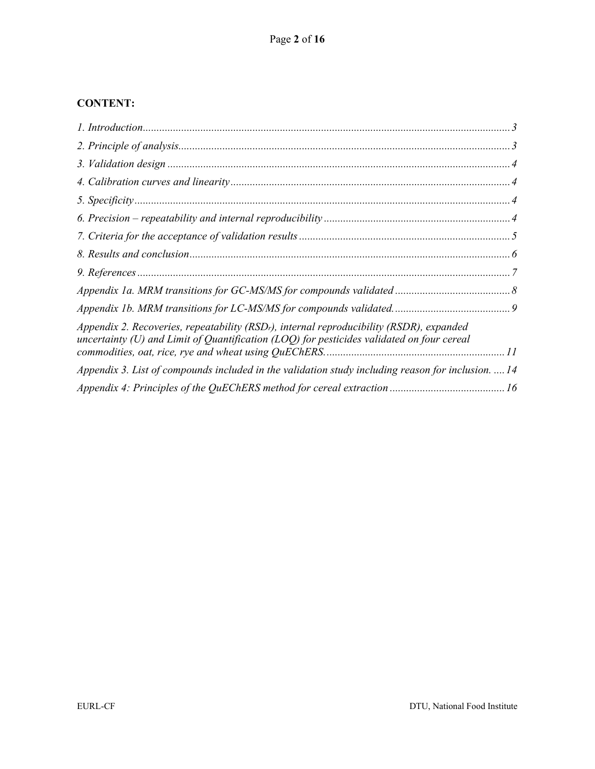# **CONTENT:**

| Appendix 2. Recoveries, repeatability $(RSDr)$ , internal reproducibility $(RSDR)$ , expanded<br>uncertainty (U) and Limit of Quantification (LOQ) for pesticides validated on four cereal |  |
|--------------------------------------------------------------------------------------------------------------------------------------------------------------------------------------------|--|
| Appendix 3. List of compounds included in the validation study including reason for inclusion. $\dots$ 14                                                                                  |  |
|                                                                                                                                                                                            |  |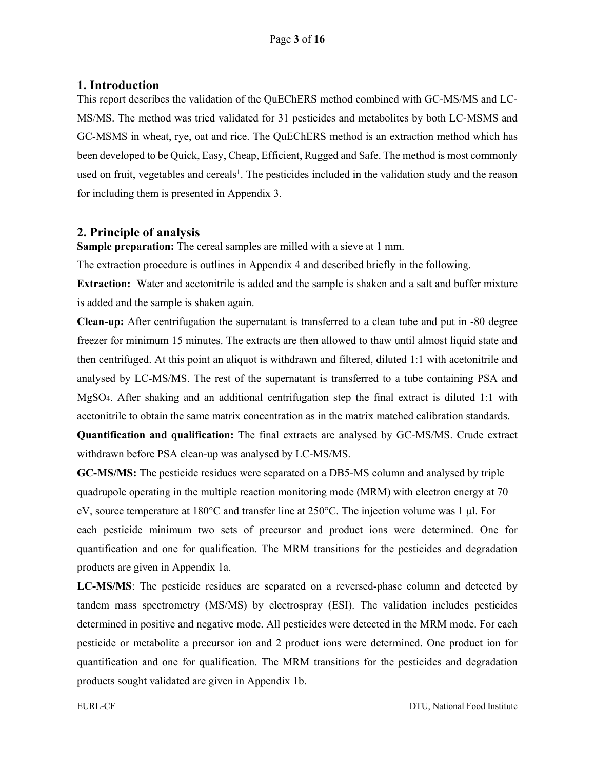#### **1. Introduction**

This report describes the validation of the QuEChERS method combined with GC-MS/MS and LC-MS/MS. The method was tried validated for 31 pesticides and metabolites by both LC-MSMS and GC-MSMS in wheat, rye, oat and rice. The QuEChERS method is an extraction method which has been developed to be Quick, Easy, Cheap, Efficient, Rugged and Safe. The method is most commonly used on fruit, vegetables and cereals<sup>1</sup>. The pesticides included in the validation study and the reason for including them is presented in Appendix 3.

### **2. Principle of analysis**

**Sample preparation:** The cereal samples are milled with a sieve at 1 mm.

The extraction procedure is outlines in Appendix 4 and described briefly in the following.

**Extraction:** Water and acetonitrile is added and the sample is shaken and a salt and buffer mixture is added and the sample is shaken again.

**Clean-up:** After centrifugation the supernatant is transferred to a clean tube and put in -80 degree freezer for minimum 15 minutes. The extracts are then allowed to thaw until almost liquid state and then centrifuged. At this point an aliquot is withdrawn and filtered, diluted 1:1 with acetonitrile and analysed by LC-MS/MS. The rest of the supernatant is transferred to a tube containing PSA and MgSO4. After shaking and an additional centrifugation step the final extract is diluted 1:1 with acetonitrile to obtain the same matrix concentration as in the matrix matched calibration standards.

**Quantification and qualification:** The final extracts are analysed by GC-MS/MS. Crude extract withdrawn before PSA clean-up was analysed by LC-MS/MS.

**GC-MS/MS:** The pesticide residues were separated on a DB5-MS column and analysed by triple quadrupole operating in the multiple reaction monitoring mode (MRM) with electron energy at 70 eV, source temperature at  $180^{\circ}$ C and transfer line at  $250^{\circ}$ C. The injection volume was 1 µl. For each pesticide minimum two sets of precursor and product ions were determined. One for quantification and one for qualification. The MRM transitions for the pesticides and degradation products are given in Appendix 1a.

**LC-MS/MS**: The pesticide residues are separated on a reversed-phase column and detected by tandem mass spectrometry (MS/MS) by electrospray (ESI). The validation includes pesticides determined in positive and negative mode. All pesticides were detected in the MRM mode. For each pesticide or metabolite a precursor ion and 2 product ions were determined. One product ion for quantification and one for qualification. The MRM transitions for the pesticides and degradation products sought validated are given in Appendix 1b.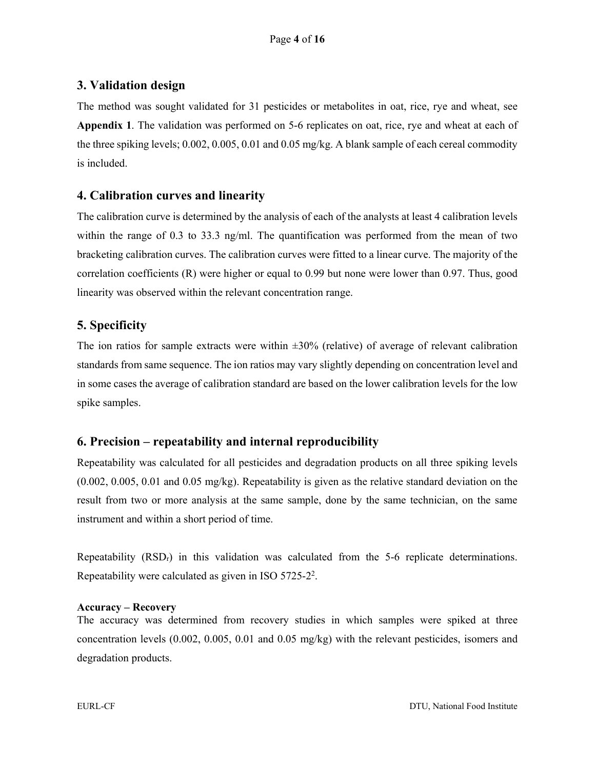## **3. Validation design**

The method was sought validated for 31 pesticides or metabolites in oat, rice, rye and wheat, see **Appendix 1**. The validation was performed on 5-6 replicates on oat, rice, rye and wheat at each of the three spiking levels; 0.002, 0.005, 0.01 and 0.05 mg/kg. A blank sample of each cereal commodity is included.

# **4. Calibration curves and linearity**

The calibration curve is determined by the analysis of each of the analysts at least 4 calibration levels within the range of 0.3 to 33.3 ng/ml. The quantification was performed from the mean of two bracketing calibration curves. The calibration curves were fitted to a linear curve. The majority of the correlation coefficients (R) were higher or equal to 0.99 but none were lower than 0.97. Thus, good linearity was observed within the relevant concentration range.

# **5. Specificity**

The ion ratios for sample extracts were within  $\pm 30\%$  (relative) of average of relevant calibration standards from same sequence. The ion ratios may vary slightly depending on concentration level and in some cases the average of calibration standard are based on the lower calibration levels for the low spike samples.

# **6. Precision – repeatability and internal reproducibility**

Repeatability was calculated for all pesticides and degradation products on all three spiking levels  $(0.002, 0.005, 0.01$  and  $(0.05 \text{ mg/kg})$ . Repeatability is given as the relative standard deviation on the result from two or more analysis at the same sample, done by the same technician, on the same instrument and within a short period of time.

Repeatability (RSD<sub>r</sub>) in this validation was calculated from the 5-6 replicate determinations. Repeatability were calculated as given in ISO 5725-22.

#### **Accuracy – Recovery**

The accuracy was determined from recovery studies in which samples were spiked at three concentration levels (0.002, 0.005, 0.01 and 0.05 mg/kg) with the relevant pesticides, isomers and degradation products.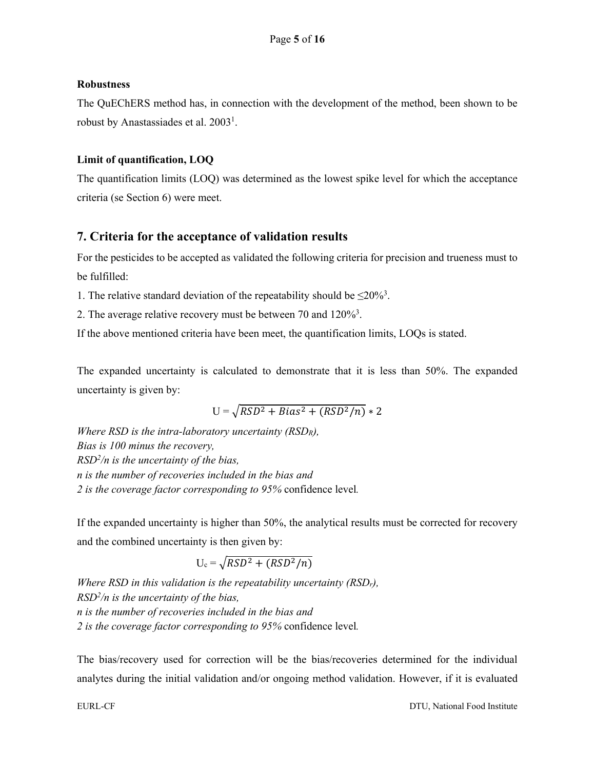#### **Robustness**

The QuEChERS method has, in connection with the development of the method, been shown to be robust by Anastassiades et al. 20031.

# **Limit of quantification, LOQ**

The quantification limits (LOQ) was determined as the lowest spike level for which the acceptance criteria (se Section 6) were meet.

# **7. Criteria for the acceptance of validation results**

For the pesticides to be accepted as validated the following criteria for precision and trueness must to be fulfilled:

1. The relative standard deviation of the repeatability should be  $\leq 20\%$ <sup>3</sup>.

2. The average relative recovery must be between 70 and 120%3.

If the above mentioned criteria have been meet, the quantification limits, LOQs is stated.

The expanded uncertainty is calculated to demonstrate that it is less than 50%. The expanded uncertainty is given by:

$$
U = \sqrt{RSD^2 + Bias^2 + (RSD^2/n)} * 2
$$

*Where RSD is the intra-laboratory uncertainty (RSDR), Bias is 100 minus the recovery, RSD2/n is the uncertainty of the bias, n is the number of recoveries included in the bias and 2 is the coverage factor corresponding to 95%* confidence level*.* 

If the expanded uncertainty is higher than 50%, the analytical results must be corrected for recovery and the combined uncertainty is then given by:

$$
U_c = \sqrt{RSD^2 + (RSD^2/n)}
$$

*Where RSD in this validation is the repeatability uncertainty (RSDr), RSD2/n is the uncertainty of the bias, n is the number of recoveries included in the bias and 2 is the coverage factor corresponding to 95%* confidence level*.*

The bias/recovery used for correction will be the bias/recoveries determined for the individual analytes during the initial validation and/or ongoing method validation. However, if it is evaluated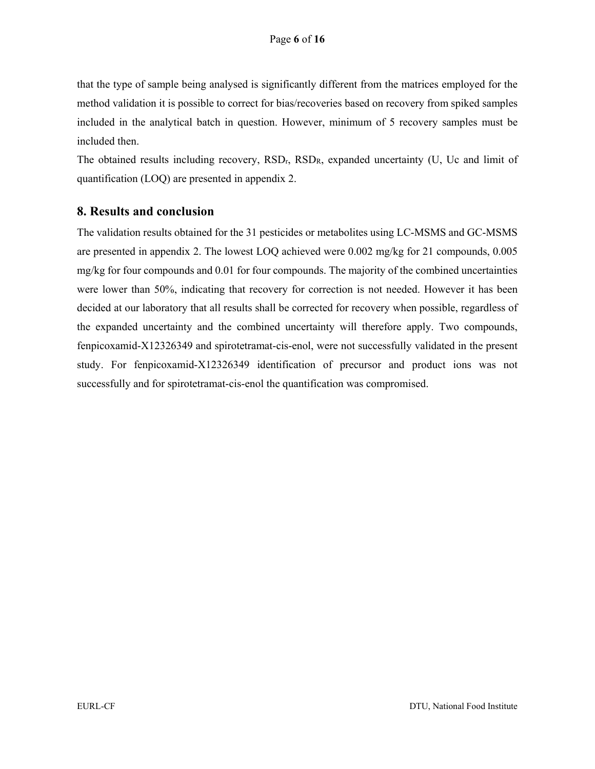that the type of sample being analysed is significantly different from the matrices employed for the method validation it is possible to correct for bias/recoveries based on recovery from spiked samples included in the analytical batch in question. However, minimum of 5 recovery samples must be included then.

The obtained results including recovery, RSD<sub>r</sub>, RSD<sub>R</sub>, expanded uncertainty (U, Uc and limit of quantification (LOQ) are presented in appendix 2.

### **8. Results and conclusion**

The validation results obtained for the 31 pesticides or metabolites using LC-MSMS and GC-MSMS are presented in appendix 2. The lowest LOQ achieved were 0.002 mg/kg for 21 compounds, 0.005 mg/kg for four compounds and 0.01 for four compounds. The majority of the combined uncertainties were lower than 50%, indicating that recovery for correction is not needed. However it has been decided at our laboratory that all results shall be corrected for recovery when possible, regardless of the expanded uncertainty and the combined uncertainty will therefore apply. Two compounds, fenpicoxamid-X12326349 and spirotetramat-cis-enol, were not successfully validated in the present study. For fenpicoxamid-X12326349 identification of precursor and product ions was not successfully and for spirotetramat-cis-enol the quantification was compromised.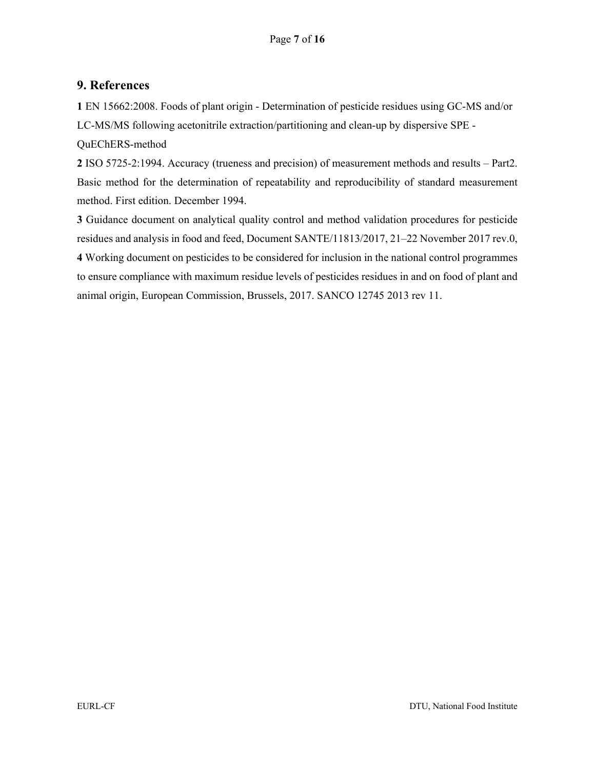# **9. References**

**1** EN 15662:2008. Foods of plant origin - Determination of pesticide residues using GC-MS and/or LC-MS/MS following acetonitrile extraction/partitioning and clean-up by dispersive SPE - QuEChERS-method

**2** ISO 5725-2:1994. Accuracy (trueness and precision) of measurement methods and results – Part2. Basic method for the determination of repeatability and reproducibility of standard measurement method. First edition. December 1994.

**3** Guidance document on analytical quality control and method validation procedures for pesticide residues and analysis in food and feed, Document SANTE/11813/2017, 21–22 November 2017 rev.0, **4** Working document on pesticides to be considered for inclusion in the national control programmes to ensure compliance with maximum residue levels of pesticides residues in and on food of plant and animal origin, European Commission, Brussels, 2017. SANCO 12745 2013 rev 11.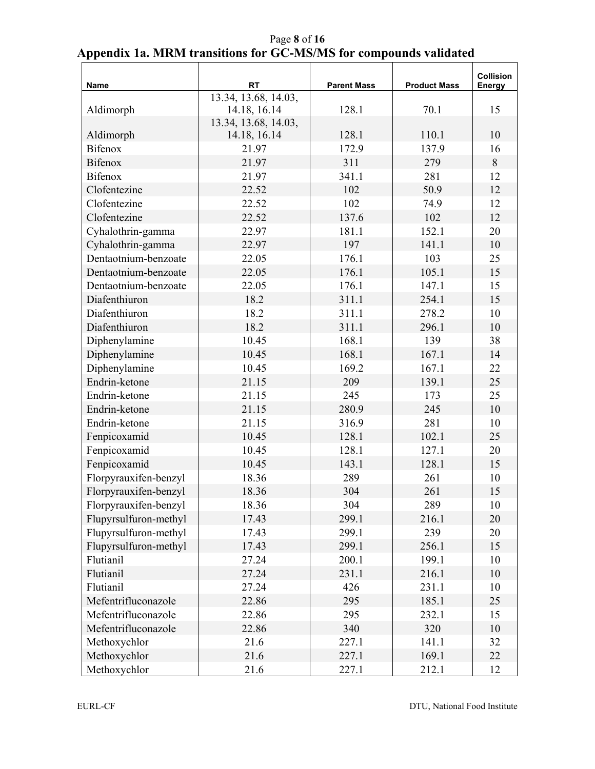| Name                  | <b>RT</b>            | <b>Parent Mass</b> | <b>Product Mass</b> | <b>Collision</b><br><b>Energy</b> |
|-----------------------|----------------------|--------------------|---------------------|-----------------------------------|
|                       | 13.34, 13.68, 14.03, |                    |                     |                                   |
| Aldimorph             | 14.18, 16.14         | 128.1              | 70.1                | 15                                |
|                       | 13.34, 13.68, 14.03, |                    |                     |                                   |
| Aldimorph             | 14.18, 16.14         | 128.1              | 110.1               | 10                                |
| <b>Bifenox</b>        | 21.97                | 172.9              | 137.9               | 16                                |
| <b>Bifenox</b>        | 21.97                | 311                | 279                 | 8                                 |
| <b>Bifenox</b>        | 21.97                | 341.1              | 281                 | 12                                |
| Clofentezine          | 22.52                | 102                | 50.9                | 12                                |
| Clofentezine          | 22.52                | 102                | 74.9                | 12                                |
| Clofentezine          | 22.52                | 137.6              | 102                 | 12                                |
| Cyhalothrin-gamma     | 22.97                | 181.1              | 152.1               | 20                                |
| Cyhalothrin-gamma     | 22.97                | 197                | 141.1               | 10                                |
| Dentaotnium-benzoate  | 22.05                | 176.1              | 103                 | 25                                |
| Dentaotnium-benzoate  | 22.05                | 176.1              | 105.1               | 15                                |
| Dentaotnium-benzoate  | 22.05                | 176.1              | 147.1               | 15                                |
| Diafenthiuron         | 18.2                 | 311.1              | 254.1               | 15                                |
| Diafenthiuron         | 18.2                 | 311.1              | 278.2               | 10                                |
| Diafenthiuron         | 18.2                 | 311.1              | 296.1               | 10                                |
| Diphenylamine         | 10.45                | 168.1              | 139                 | 38                                |
| Diphenylamine         | 10.45                | 168.1              | 167.1               | 14                                |
| Diphenylamine         | 10.45                | 169.2              | 167.1               | 22                                |
| Endrin-ketone         | 21.15                | 209                | 139.1               | 25                                |
| Endrin-ketone         | 21.15                | 245                | 173                 | 25                                |
| Endrin-ketone         | 21.15                | 280.9              | 245                 | 10                                |
| Endrin-ketone         | 21.15                | 316.9              | 281                 | 10                                |
| Fenpicoxamid          | 10.45                | 128.1              | 102.1               | 25                                |
| Fenpicoxamid          | 10.45                | 128.1              | 127.1               | 20                                |
| Fenpicoxamid          | 10.45                | 143.1              | 128.1               | 15                                |
| Florpyrauxifen-benzyl | 18.36                | 289                | 261                 | 10                                |
| Florpyrauxifen-benzyl | 18.36                | 304                | 261                 | 15                                |
| Florpyrauxifen-benzyl | 18.36                | 304                | 289                 | 10                                |
| Flupyrsulfuron-methyl | 17.43                | 299.1              | 216.1               | 20                                |
| Flupyrsulfuron-methyl | 17.43                | 299.1              | 239                 | 20                                |
| Flupyrsulfuron-methyl | 17.43                | 299.1              | 256.1               | 15                                |
| Flutianil             | 27.24                | 200.1              | 199.1               | 10                                |
| Flutianil             | 27.24                | 231.1              | 216.1               | 10                                |
| Flutianil             | 27.24                | 426                | 231.1               | 10                                |
| Mefentrifluconazole   | 22.86                | 295                | 185.1               | 25                                |
| Mefentrifluconazole   | 22.86                | 295                | 232.1               | 15                                |
| Mefentrifluconazole   | 22.86                | 340                | 320                 | 10                                |
| Methoxychlor          | 21.6                 | 227.1              | 141.1               | 32                                |
| Methoxychlor          | 21.6                 | 227.1              | 169.1               | 22                                |
| Methoxychlor          | 21.6                 | 227.1              | 212.1               | 12                                |

Page **8** of **16 Appendix 1a. MRM transitions for GC-MS/MS for compounds validated**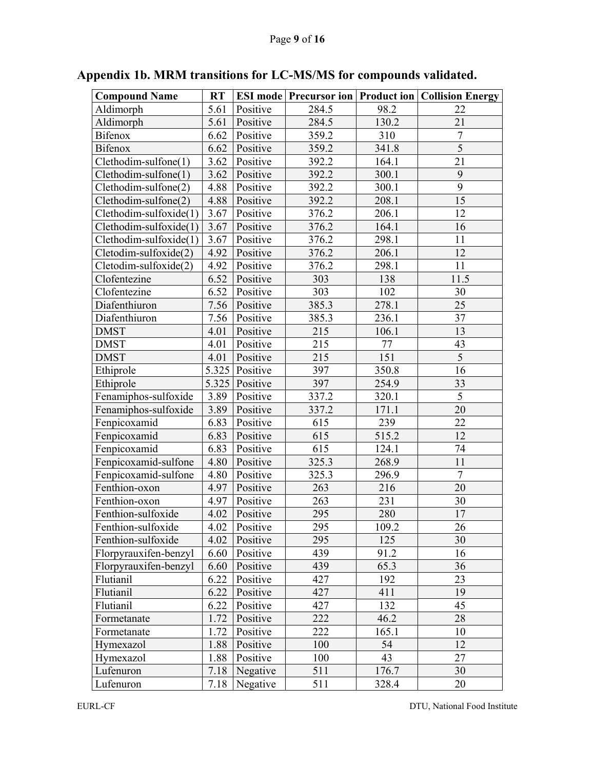| <b>Compound Name</b>    | <b>RT</b> |          |       |       | <b>ESI mode Precursor ion Product ion Collision Energy</b> |
|-------------------------|-----------|----------|-------|-------|------------------------------------------------------------|
| Aldimorph               | 5.61      | Positive | 284.5 | 98.2  | 22                                                         |
| Aldimorph               | 5.61      | Positive | 284.5 | 130.2 | 21                                                         |
| Bifenox                 | 6.62      | Positive | 359.2 | 310   | $\tau$                                                     |
| <b>Bifenox</b>          | 6.62      | Positive | 359.2 | 341.8 | $\overline{5}$                                             |
| Clethodim-sulfone(1)    | 3.62      | Positive | 392.2 | 164.1 | 21                                                         |
| Clethodim-sulfone(1)    | 3.62      | Positive | 392.2 | 300.1 | 9                                                          |
| Clethodim-sulfone(2)    | 4.88      | Positive | 392.2 | 300.1 | 9                                                          |
| Clethodim-sulfone(2)    | 4.88      | Positive | 392.2 | 208.1 | $\overline{15}$                                            |
| Clethodim-sulfoxide(1)  | 3.67      | Positive | 376.2 | 206.1 | 12                                                         |
| Clethodim-sulfoxide(1)  | 3.67      | Positive | 376.2 | 164.1 | 16                                                         |
| Clethodim-sulfoxide(1)  | 3.67      | Positive | 376.2 | 298.1 | 11                                                         |
| Cletodim-sulfoxide(2)   | 4.92      | Positive | 376.2 | 206.1 | 12                                                         |
| $Cletodim-sulfoxide(2)$ | 4.92      | Positive | 376.2 | 298.1 | 11                                                         |
| Clofentezine            | 6.52      | Positive | 303   | 138   | 11.5                                                       |
| Clofentezine            | 6.52      | Positive | 303   | 102   | 30                                                         |
| Diafenthiuron           | 7.56      | Positive | 385.3 | 278.1 | 25                                                         |
| Diafenthiuron           | 7.56      | Positive | 385.3 | 236.1 | 37                                                         |
| <b>DMST</b>             | 4.01      | Positive | 215   | 106.1 | 13                                                         |
| <b>DMST</b>             | 4.01      | Positive | 215   | 77    | 43                                                         |
| <b>DMST</b>             | 4.01      | Positive | 215   | 151   | 5                                                          |
| Ethiprole               | 5.325     | Positive | 397   | 350.8 | 16                                                         |
| Ethiprole               | 5.325     | Positive | 397   | 254.9 | 33                                                         |
| Fenamiphos-sulfoxide    | 3.89      | Positive | 337.2 | 320.1 | 5                                                          |
| Fenamiphos-sulfoxide    | 3.89      | Positive | 337.2 | 171.1 | 20                                                         |
| Fenpicoxamid            | 6.83      | Positive | 615   | 239   | 22                                                         |
| Fenpicoxamid            | 6.83      | Positive | 615   | 515.2 | 12                                                         |
| Fenpicoxamid            | 6.83      | Positive | 615   | 124.1 | 74                                                         |
| Fenpicoxamid-sulfone    | 4.80      | Positive | 325.3 | 268.9 | 11                                                         |
| Fenpicoxamid-sulfone    | 4.80      | Positive | 325.3 | 296.9 | $\overline{7}$                                             |
| Fenthion-oxon           | 4.97      | Positive | 263   | 216   | 20                                                         |
| Fenthion-oxon           | 4.97      | Positive | 263   | 231   | 30                                                         |
| Fenthion-sulfoxide      | 4.02      | Positive | 295   | 280   | 17                                                         |
| Fenthion-sulfoxide      | 4.02      | Positive | 295   | 109.2 | 26                                                         |
| Fenthion-sulfoxide      | 4.02      | Positive | 295   | 125   | 30                                                         |
| Florpyrauxifen-benzyl   | 6.60      | Positive | 439   | 91.2  | 16                                                         |
| Florpyrauxifen-benzyl   | 6.60      | Positive | 439   | 65.3  | 36                                                         |
| Flutianil               | 6.22      | Positive | 427   | 192   | 23                                                         |
| Flutianil               | 6.22      | Positive | 427   | 411   | 19                                                         |
| Flutianil               | 6.22      | Positive | 427   | 132   | 45                                                         |
| Formetanate             | 1.72      | Positive | 222   | 46.2  | 28                                                         |
| Formetanate             | 1.72      | Positive | 222   | 165.1 | 10                                                         |
| Hymexazol               | 1.88      | Positive | 100   | 54    | 12                                                         |
| Hymexazol               | 1.88      | Positive | 100   | 43    | 27                                                         |
| Lufenuron               | 7.18      | Negative | 511   | 176.7 | 30                                                         |
| Lufenuron               | 7.18      | Negative | 511   | 328.4 | 20                                                         |

# **Appendix 1b. MRM transitions for LC-MS/MS for compounds validated.**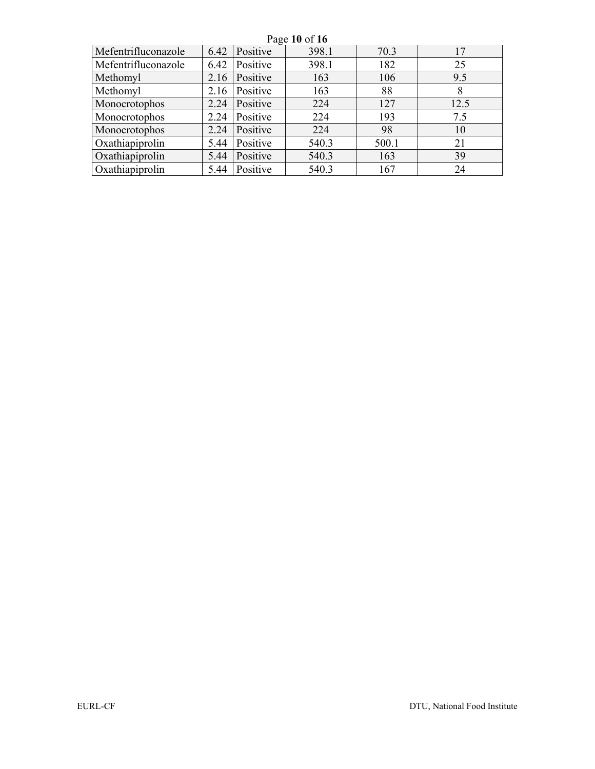Page **10** of **16**

| Mefentrifluconazole | 6.42 | Positive | 398.1 | 70.3  | 17   |
|---------------------|------|----------|-------|-------|------|
| Mefentrifluconazole | 6.42 | Positive | 398.1 | 182   | 25   |
| Methomyl            | 2.16 | Positive | 163   | 106   | 9.5  |
| Methomyl            | 2.16 | Positive | 163   | 88    | 8    |
| Monocrotophos       | 2.24 | Positive | 224   | 127   | 12.5 |
| Monocrotophos       | 2.24 | Positive | 224   | 193   | 7.5  |
| Monocrotophos       | 2.24 | Positive | 224   | 98    | 10   |
| Oxathiapiprolin     | 5.44 | Positive | 540.3 | 500.1 | 21   |
| Oxathiapiprolin     | 5.44 | Positive | 540.3 | 163   | 39   |
| Oxathiapiprolin     | 5.44 | Positive | 540.3 | 167   | 24   |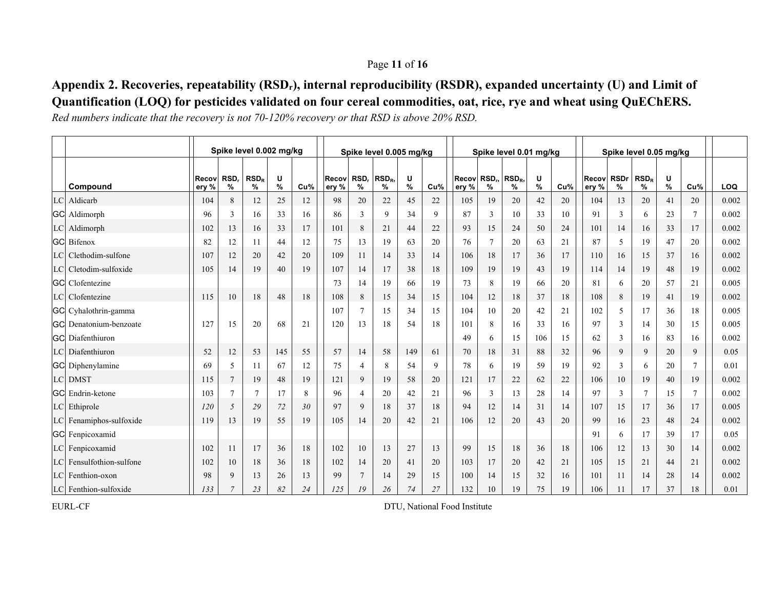# Page **11** of **16**

# **Appendix 2. Recoveries, repeatability (RSDr), internal reproducibility (RSDR), expanded uncertainty (U) and Limit of Quantification (LOQ) for pesticides validated on four cereal commodities, oat, rice, rye and wheat using QuEChERS.**  *Red numbers indicate that the recovery is not 70-120% recovery or that RSD is above 20% RSD.*

|                 |                               |                |                | Spike level 0.002 mg/kg |        |     |                |                | Spike level 0.005 mg/kg       |        |     |                |        | Spike level 0.01 mg/kg |        |     |                            | Spike level 0.05 mg/kg |                 |           |                |            |
|-----------------|-------------------------------|----------------|----------------|-------------------------|--------|-----|----------------|----------------|-------------------------------|--------|-----|----------------|--------|------------------------|--------|-----|----------------------------|------------------------|-----------------|-----------|----------------|------------|
|                 | Compound                      | Recov<br>ery % | RSD,<br>%      | $RSD_R$<br>%            | U<br>% | Cu% | Recov<br>ery % | $\%$           | $RSD_r$ RSD <sub>R</sub><br>℅ | U<br>% | Cu% | Recov<br>ery % | %      | $RSD_r$ , $RSD_R$<br>% | U<br>% | Cu% | <b>Recov RSDr</b><br>ery % | $\%$                   | $RSD_R$<br>$\%$ | U<br>$\%$ | Cu%            | <b>LOQ</b> |
| LC <sup>1</sup> | Aldicarb                      | 104            | 8              | 12                      | 25     | 12  | 98             | 20             | 22                            | 45     | 22  | 105            | 19     | 20                     | 42     | 20  | 104                        | 13                     | 20              | 41        | 20             | 0.002      |
|                 | <b>GC</b> Aldimorph           | 96             | 3              | 16                      | 33     | 16  | 86             | 3              | 9                             | 34     | 9   | 87             | 3      | 10                     | 33     | 10  | 91                         | 3                      | 6               | 23        | $\overline{7}$ | 0.002      |
|                 | LC Aldimorph                  | 102            | 13             | 16                      | 33     | 17  | 101            | 8              | 21                            | 44     | 22  | 93             | 15     | 24                     | 50     | 24  | 101                        | 14                     | 16              | 33        | 17             | 0.002      |
|                 | <b>GC</b> Bifenox             | 82             | 12             | 11                      | 44     | 12  | 75             | 13             | 19                            | 63     | 20  | 76             | $\tau$ | 20                     | 63     | 21  | 87                         | 5                      | 19              | 47        | 20             | 0.002      |
| <b>LC</b>       | Clethodim-sulfone             | 107            | 12             | 20                      | 42     | 20  | 109            | 11             | 14                            | 33     | 14  | 106            | 18     | 17                     | 36     | 17  | 110                        | 16                     | 15              | 37        | 16             | 0.002      |
| <b>LC</b>       | Cletodim-sulfoxide            | 105            | 14             | 19                      | 40     | 19  | 107            | 14             | 17                            | 38     | 18  | 109            | 19     | 19                     | 43     | 19  | 114                        | 14                     | 19              | 48        | 19             | 0.002      |
|                 | <b>GC</b> Clofentezine        |                |                |                         |        |     | 73             | 14             | 19                            | 66     | 19  | 73             | 8      | 19                     | 66     | 20  | 81                         | 6                      | 20              | 57        | 21             | 0.005      |
|                 | LC Clofentezine               | 115            | 10             | 18                      | 48     | 18  | 108            | 8              | 15                            | 34     | 15  | 104            | 12     | 18                     | 37     | 18  | 108                        | 8                      | 19              | 41        | 19             | 0.002      |
|                 | GC Cyhalothrin-gamma          |                |                |                         |        |     | 107            | $\overline{7}$ | 15                            | 34     | 15  | 104            | 10     | 20                     | 42     | 21  | 102                        | 5                      | 17              | 36        | 18             | 0.005      |
|                 | <b>GC</b> Denatonium-benzoate | 127            | 15             | 20                      | 68     | 21  | 120            | 13             | 18                            | 54     | 18  | 101            | 8      | 16                     | 33     | 16  | 97                         | 3                      | 14              | 30        | 15             | 0.005      |
|                 | <b>GC</b> Diafenthiuron       |                |                |                         |        |     |                |                |                               |        |     | 49             | 6      | 15                     | 106    | 15  | 62                         | 3                      | 16              | 83        | 16             | 0.002      |
|                 | LC Diafenthiuron              | 52             | 12             | 53                      | 145    | 55  | 57             | 14             | 58                            | 149    | 61  | 70             | 18     | 31                     | 88     | 32  | 96                         | 9                      | 9               | 20        | 9              | 0.05       |
|                 | <b>GC</b> Diphenylamine       | 69             | 5              | 11                      | 67     | 12  | 75             | 4              | 8                             | 54     | 9   | 78             | 6      | 19                     | 59     | 19  | 92                         | 3                      | 6               | 20        | $\overline{7}$ | 0.01       |
|                 | LC DMST                       | 115            | $\overline{7}$ | 19                      | 48     | 19  | 121            | 9              | 19                            | 58     | 20  | 121            | 17     | 22                     | 62     | 22  | 106                        | 10                     | 19              | 40        | 19             | 0.002      |
|                 | <b>GC</b> Endrin-ketone       | 103            | $\overline{7}$ | 7                       | 17     | 8   | 96             | $\overline{4}$ | 20                            | 42     | 21  | 96             | 3      | 13                     | 28     | 14  | 97                         | 3                      |                 | 15        | $\tau$         | 0.002      |
|                 | LC Ethiprole                  | 120            | 5              | 29                      | 72     | 30  | 97             | 9              | 18                            | 37     | 18  | 94             | 12     | 14                     | 31     | 14  | 107                        | 15                     | 17              | 36        | 17             | 0.005      |
|                 | LC Fenamiphos-sulfoxide       | 119            | 13             | 19                      | 55     | 19  | 105            | 14             | 20                            | 42     | 21  | 106            | 12     | 20                     | 43     | 20  | 99                         | 16                     | 23              | 48        | 24             | 0.002      |
|                 | <b>GC</b> Fenpicoxamid        |                |                |                         |        |     |                |                |                               |        |     |                |        |                        |        |     | 91                         | 6                      | 17              | 39        | 17             | 0.05       |
|                 | LC Fenpicoxamid               | 102            | 11             | 17                      | 36     | 18  | 102            | 10             | 13                            | 27     | 13  | 99             | 15     | 18                     | 36     | 18  | 106                        | 12                     | 13              | 30        | 14             | 0.002      |
|                 | LC Fensulfothion-sulfone      | 102            | 10             | 18                      | 36     | 18  | 102            | 14             | 20                            | 41     | 20  | 103            | 17     | 20                     | 42     | 21  | 105                        | 15                     | 21              | 44        | 21             | 0.002      |
|                 | LC Fenthion-oxon              | 98             | 9              | 13                      | 26     | 13  | 99             | $\overline{7}$ | 14                            | 29     | 15  | 100            | 14     | 15                     | 32     | 16  | 101                        | 11                     | 14              | 28        | 14             | 0.002      |
|                 | LC Fenthion-sulfoxide         | 133            | 7              | 23                      | 82     | 24  | 125            | 19             | 26                            | 74     | 27  | 132            | 10     | 19                     | 75     | 19  | 106                        | 11                     | 17              | 37        | 18             | 0.01       |

EURL-CF DTU, National Food Institute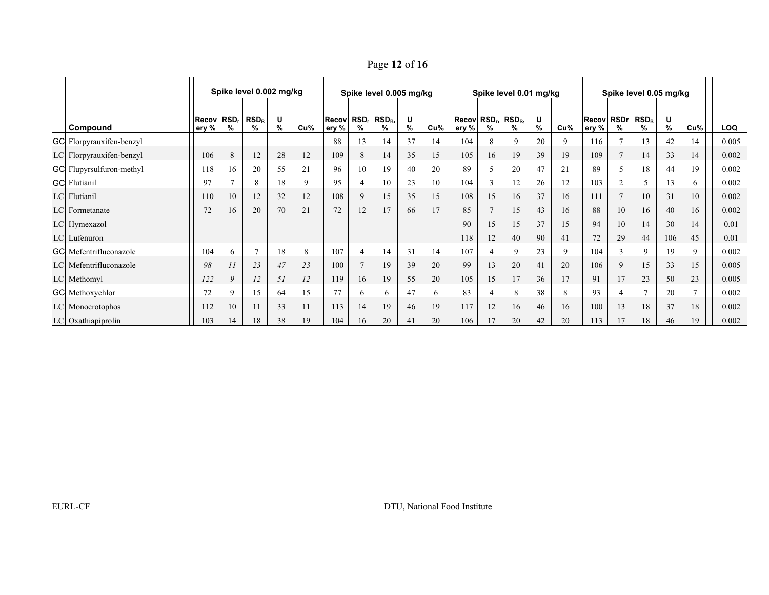| Page 12 of 16 |
|---------------|
|---------------|

|     |                          |                                             |    | Spike level 0.002 mg/kg |        |     |                       |             | Spike level 0.005 mg/kg         |        |     |       |              | Spike level 0.01 mg/kg                           |        |     |                |                  | Spike level 0.05 mg/kg |        |              |       |
|-----|--------------------------|---------------------------------------------|----|-------------------------|--------|-----|-----------------------|-------------|---------------------------------|--------|-----|-------|--------------|--------------------------------------------------|--------|-----|----------------|------------------|------------------------|--------|--------------|-------|
|     | Compound                 | <b>Recov RSD, RSD</b> <sub>R</sub><br>ery % | %  | %                       | U<br>% | Cu% | <b>Recov</b><br>ery % | %           | $RSD_r$ RSD <sub>R</sub> ,<br>% | U<br>% | Cu% | ery % | %            | Recov RSD <sub>r</sub> , RSD <sub>R</sub> ,<br>% | U<br>% | Cu% | Recov<br>ery % | <b>RSDr</b><br>% | $RSD_R$<br>%           | U<br>% | Cu%          | LOQ   |
|     | GC Florpyrauxifen-benzyl |                                             |    |                         |        |     | 88                    | 13          | 14                              | 37     | 14  | 104   | 8            |                                                  | 20     | 9   | 116            |                  | 13                     | 42     | 14           | 0.005 |
|     | LC Florpyrauxifen-benzyl | 106                                         | 8  | 12                      | 28     | 12  | 109                   | 8           | 14                              | 35     | 15  | 105   | 16           | 19                                               | 39     | 19  | 109            | $\overline{7}$   | 14                     | 33     | 14           | 0.002 |
|     | GC Flupyrsulfuron-methyl | 118                                         | 16 | 20                      | 55     | 21  | 96                    | 10          | 19                              | 40     | 20  | 89    | 5            | 20                                               | 47     | 21  | 89             | 5                | 18                     | 44     | 19           | 0.002 |
|     | <b>GC</b> Flutianil      | 97                                          |    | 8                       | 18     | 9   | 95                    | 4           | 10                              | 23     | 10  | 104   | 3            | 12                                               | 26     | 12  | 103            | $\overline{2}$   | 5                      | 13     | 6            | 0.002 |
|     | LC Flutianil             | 110                                         | 10 | 12                      | 32     | 12  | 108                   | $\mathbf Q$ | 15                              | 35     | 15  | 108   | 15           | 16                                               | 37     | 16  | 111            | $\tau$           | 10                     | 31     | 10           | 0.002 |
|     | LC Formetanate           | 72                                          | 16 | 20                      | 70     | 21  | 72                    | 12          | 17                              | 66     | 17  | 85    | $\mathbf{r}$ | 15                                               | 43     | 16  | 88             | 10               | 16                     | 40     | 16           | 0.002 |
|     | LC Hymexazol             |                                             |    |                         |        |     |                       |             |                                 |        |     | 90    | 15           | 15                                               | 37     | 15  | 94             | 10               | 14                     | 30     | 14           | 0.01  |
| LCI | Lufenuron                |                                             |    |                         |        |     |                       |             |                                 |        |     | 118   | 12           | 40                                               | 90     | 41  | 72             | 29               | 44                     | 106    | 45           | 0.01  |
|     | GC Mefentrifluconazole   | 104                                         | 6  | $\mathbf{r}$            | 18     | 8   | 107                   | 4           | 14                              | 31     | 14  | 107   | 4            |                                                  | 23     | 9   | 104            | 3                | $\mathbf Q$            | 19     | 9            | 0.002 |
|     | LC Mefentrifluconazole   | 98                                          | 11 | 23                      | 47     | 23  | 100                   |             | 19                              | 39     | 20  | 99    | 13           | 20                                               | 41     | 20  | 106            | 9                | 15                     | 33     | 15           | 0.005 |
|     | LC Methomyl              | 122                                         | 9  | 12                      | 51     | 12  | 119                   | 16          | 19                              | 55     | 20  | 105   | 15           | 17                                               | 36     | 17  | 91             | 17               | 23                     | 50     | 23           | 0.005 |
|     | <b>GC</b> Methoxychlor   | 72                                          | 9  | 15                      | 64     | 15  | 77                    | 6           | 6                               | 47     | 6   | 83    | 4            | 8                                                | 38     | 8   | 93             |                  |                        | 20     | $\mathbf{r}$ | 0.002 |
|     | LC Monocrotophos         | 112                                         | 10 | 11                      | 33     | 11  | 113                   | 14          | 19                              | 46     | 19  | 117   | 12           | 16                                               | 46     | 16  | 100            | 13               | 18                     | 37     | 18           | 0.002 |
|     | LC Oxathiapiprolin       | 103                                         | 14 | 18                      | 38     | 19  | 104                   | 16          | 20                              | 41     | 20  | 106   | 17           | 20                                               | 42     | 20  | 113            |                  | 18                     | 46     | 19           | 0.002 |

EURL-CF DTU, National Food Institute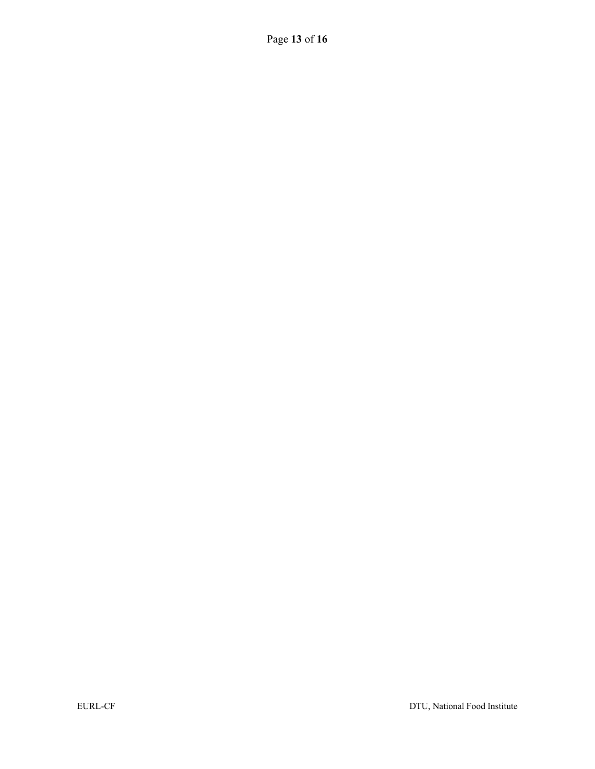Page **13** of **16**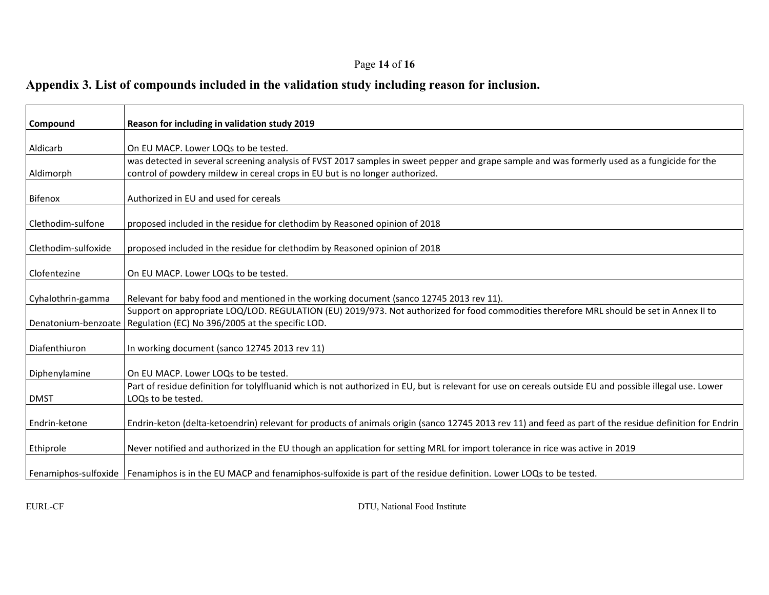# Page **14** of **16**

# **Appendix 3. List of compounds included in the validation study including reason for inclusion.**

| Compound            | Reason for including in validation study 2019                                                                                                            |
|---------------------|----------------------------------------------------------------------------------------------------------------------------------------------------------|
|                     |                                                                                                                                                          |
| Aldicarb            | On EU MACP. Lower LOQs to be tested.                                                                                                                     |
|                     | was detected in several screening analysis of FVST 2017 samples in sweet pepper and grape sample and was formerly used as a fungicide for the            |
| Aldimorph           | control of powdery mildew in cereal crops in EU but is no longer authorized.                                                                             |
| <b>Bifenox</b>      | Authorized in EU and used for cereals                                                                                                                    |
|                     |                                                                                                                                                          |
| Clethodim-sulfone   | proposed included in the residue for clethodim by Reasoned opinion of 2018                                                                               |
|                     |                                                                                                                                                          |
| Clethodim-sulfoxide | proposed included in the residue for clethodim by Reasoned opinion of 2018                                                                               |
|                     |                                                                                                                                                          |
| Clofentezine        | On EU MACP. Lower LOQs to be tested.                                                                                                                     |
| Cyhalothrin-gamma   | Relevant for baby food and mentioned in the working document (sanco 12745 2013 rev 11).                                                                  |
|                     | Support on appropriate LOQ/LOD. REGULATION (EU) 2019/973. Not authorized for food commodities therefore MRL should be set in Annex II to                 |
| Denatonium-benzoate | Regulation (EC) No 396/2005 at the specific LOD.                                                                                                         |
| Diafenthiuron       | In working document (sanco 12745 2013 rev 11)                                                                                                            |
| Diphenylamine       | On EU MACP. Lower LOQs to be tested.                                                                                                                     |
|                     | Part of residue definition for tolylfluanid which is not authorized in EU, but is relevant for use on cereals outside EU and possible illegal use. Lower |
| <b>DMST</b>         | LOQs to be tested.                                                                                                                                       |
|                     |                                                                                                                                                          |
| Endrin-ketone       | Endrin-keton (delta-ketoendrin) relevant for products of animals origin (sanco 12745 2013 rev 11) and feed as part of the residue definition for Endrin  |
|                     |                                                                                                                                                          |
| Ethiprole           | Never notified and authorized in the EU though an application for setting MRL for import tolerance in rice was active in 2019                            |
|                     | Fenamiphos-sulfoxide   Fenamiphos is in the EU MACP and fenamiphos-sulfoxide is part of the residue definition. Lower LOQs to be tested.                 |

EURL-CF DTU, National Food Institute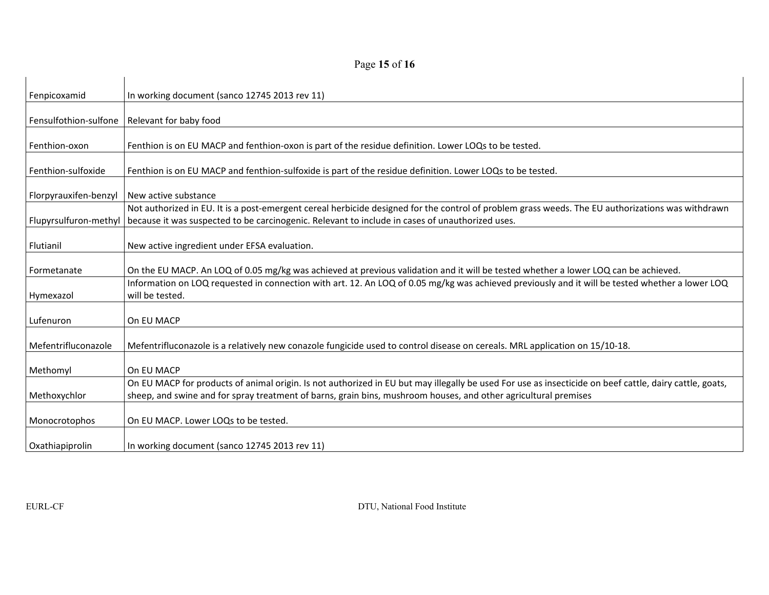| Page 15 of 16 |  |  |  |
|---------------|--|--|--|
|---------------|--|--|--|

| Fenpicoxamid          | In working document (sanco 12745 2013 rev 11)                                                                                                                                                                                                                              |
|-----------------------|----------------------------------------------------------------------------------------------------------------------------------------------------------------------------------------------------------------------------------------------------------------------------|
| Fensulfothion-sulfone | Relevant for baby food                                                                                                                                                                                                                                                     |
| Fenthion-oxon         | Fenthion is on EU MACP and fenthion-oxon is part of the residue definition. Lower LOQs to be tested.                                                                                                                                                                       |
| Fenthion-sulfoxide    | Fenthion is on EU MACP and fenthion-sulfoxide is part of the residue definition. Lower LOQs to be tested.                                                                                                                                                                  |
| Florpyrauxifen-benzyl | New active substance                                                                                                                                                                                                                                                       |
| Flupyrsulfuron-methyl | Not authorized in EU. It is a post-emergent cereal herbicide designed for the control of problem grass weeds. The EU authorizations was withdrawn<br>because it was suspected to be carcinogenic. Relevant to include in cases of unauthorized uses.                       |
| Flutianil             | New active ingredient under EFSA evaluation.                                                                                                                                                                                                                               |
| Formetanate           | On the EU MACP. An LOQ of 0.05 mg/kg was achieved at previous validation and it will be tested whether a lower LOQ can be achieved.                                                                                                                                        |
| Hymexazol             | Information on LOQ requested in connection with art. 12. An LOQ of 0.05 mg/kg was achieved previously and it will be tested whether a lower LOQ<br>will be tested.                                                                                                         |
| Lufenuron             | On EU MACP                                                                                                                                                                                                                                                                 |
| Mefentrifluconazole   | Mefentrifluconazole is a relatively new conazole fungicide used to control disease on cereals. MRL application on 15/10-18.                                                                                                                                                |
| Methomyl              | On EU MACP                                                                                                                                                                                                                                                                 |
| Methoxychlor          | On EU MACP for products of animal origin. Is not authorized in EU but may illegally be used For use as insecticide on beef cattle, dairy cattle, goats,<br>sheep, and swine and for spray treatment of barns, grain bins, mushroom houses, and other agricultural premises |
| Monocrotophos         | On EU MACP. Lower LOQs to be tested.                                                                                                                                                                                                                                       |
| Oxathiapiprolin       | In working document (sanco 12745 2013 rev 11)                                                                                                                                                                                                                              |